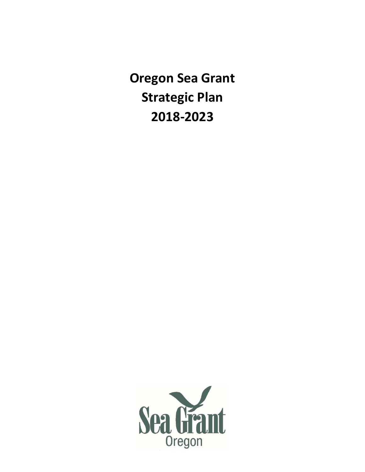**Oregon Sea Grant Strategic Plan 2018-2023**

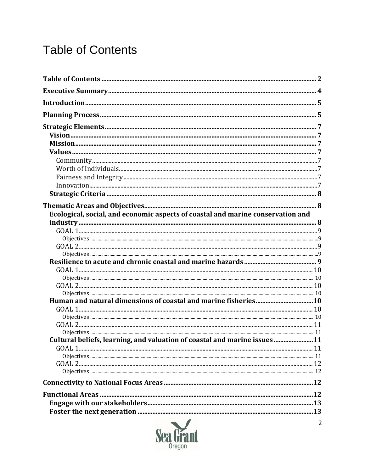# **Table of Contents**

| Ecological, social, and economic aspects of coastal and marine conservation and |  |
|---------------------------------------------------------------------------------|--|
|                                                                                 |  |
|                                                                                 |  |
|                                                                                 |  |
|                                                                                 |  |
|                                                                                 |  |
|                                                                                 |  |
|                                                                                 |  |
|                                                                                 |  |
|                                                                                 |  |
|                                                                                 |  |
|                                                                                 |  |
|                                                                                 |  |
|                                                                                 |  |
| Cultural beliefs, learning, and valuation of coastal and marine issues 11       |  |
|                                                                                 |  |
|                                                                                 |  |
|                                                                                 |  |
|                                                                                 |  |
|                                                                                 |  |
|                                                                                 |  |
|                                                                                 |  |
|                                                                                 |  |
|                                                                                 |  |

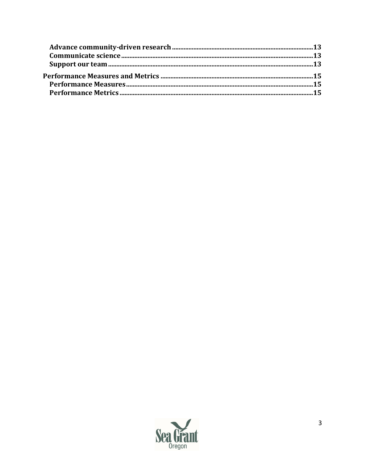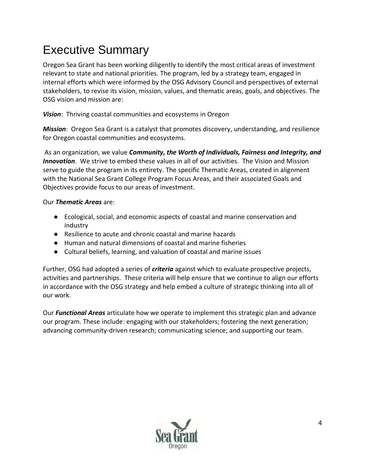# Executive Summary

Oregon Sea Grant has been working diligently to identify the most critical areas of investment relevant to state and national priorities. The program, led by a strategy team, engaged in internal efforts which were informed by the OSG Advisory Council and perspectives of external stakeholders, to revise its vision, mission, values, and thematic areas, goals, and objectives. The OSG vision and mission are:

*Vision*: Thriving coastal communities and ecosystems in Oregon

*Mission*: Oregon Sea Grant is a catalyst that promotes discovery, understanding, and resilience for Oregon coastal communities and ecosystems.

As an organization, we value *Community, the Worth of Individuals, Fairness and Integrity, and Innovation*. We strive to embed these values in all of our activities. The Vision and Mission serve to guide the program in its entirety. The specific Thematic Areas, created in alignment with the National Sea Grant College Program Focus Areas, and their associated Goals and Objectives provide focus to our areas of investment.

#### Our *Thematic Areas* are:

- Ecological, social, and economic aspects of coastal and marine conservation and industry
- Resilience to acute and chronic coastal and marine hazards
- Human and natural dimensions of coastal and marine fisheries
- Cultural beliefs, learning, and valuation of coastal and marine issues

Further, OSG had adopted a series of *criteria* against which to evaluate prospective projects, activities and partnerships. These criteria will help ensure that we continue to align our efforts in accordance with the OSG strategy and help embed a culture of strategic thinking into all of our work.

Our *Functional Areas* articulate how we operate to implement this strategic plan and advance our program. These include: engaging with our stakeholders; fostering the next generation; advancing community-driven research; communicating science; and supporting our team.

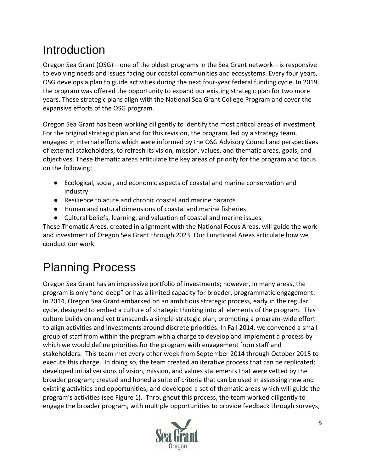# **Introduction**

Oregon Sea Grant (OSG)—one of the oldest programs in the Sea Grant network—is responsive to evolving needs and issues facing our coastal communities and ecosystems. Every four years, OSG develops a plan to guide activities during the next four-year federal funding cycle. In 2019, the program was offered the opportunity to expand our existing strategic plan for two more years. These strategic plans align with the National Sea Grant College Program and cover the expansive efforts of the OSG program.

Oregon Sea Grant has been working diligently to identify the most critical areas of investment. For the original strategic plan and for this revision, the program, led by a strategy team, engaged in internal efforts which were informed by the OSG Advisory Council and perspectives of external stakeholders, to refresh its vision, mission, values, and thematic areas, goals, and objectives. These thematic areas articulate the key areas of priority for the program and focus on the following:

- Ecological, social, and economic aspects of coastal and marine conservation and industry
- Resilience to acute and chronic coastal and marine hazards
- Human and natural dimensions of coastal and marine fisheries
- Cultural beliefs, learning, and valuation of coastal and marine issues

These Thematic Areas, created in alignment with the National Focus Areas, will guide the work and investment of Oregon Sea Grant through 2023. Our Functional Areas articulate how we conduct our work.

# Planning Process

Oregon Sea Grant has an impressive portfolio of investments; however, in many areas, the program is only "one-deep" or has a limited capacity for broader, programmatic engagement. In 2014, Oregon Sea Grant embarked on an ambitious strategic process, early in the regular cycle, designed to embed a culture of strategic thinking into all elements of the program. This culture builds on and yet transcends a simple strategic plan, promoting a program-wide effort to align activities and investments around discrete priorities. In Fall 2014, we convened a small group of staff from within the program with a charge to develop and implement a process by which we would define priorities for the program with engagement from staff and stakeholders. This team met every other week from September 2014 through October 2015 to execute this charge. In doing so, the team created an iterative process that can be replicated; developed initial versions of vision, mission, and values statements that were vetted by the broader program; created and honed a suite of criteria that can be used in assessing new and existing activities and opportunities; and developed a set of thematic areas which will guide the program's activities (see Figure 1). Throughout this process, the team worked diligently to engage the broader program, with multiple opportunities to provide feedback through surveys,

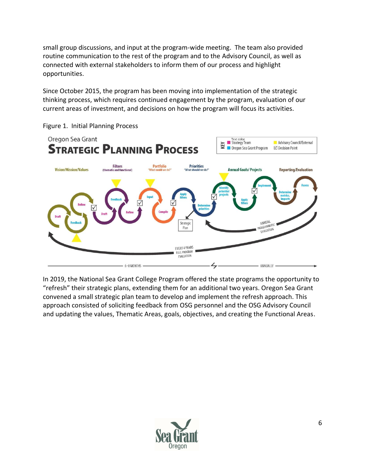small group discussions, and input at the program-wide meeting. The team also provided routine communication to the rest of the program and to the Advisory Council, as well as connected with external stakeholders to inform them of our process and highlight opportunities.

Since October 2015, the program has been moving into implementation of the strategic thinking process, which requires continued engagement by the program, evaluation of our current areas of investment, and decisions on how the program will focus its activities.



Figure 1. Initial Planning Process

In 2019, the National Sea Grant College Program offered the state programs the opportunity to "refresh" their strategic plans, extending them for an additional two years. Oregon Sea Grant convened a small strategic plan team to develop and implement the refresh approach. This approach consisted of soliciting feedback from OSG personnel and the OSG Advisory Council and updating the values, Thematic Areas, goals, objectives, and creating the Functional Areas.

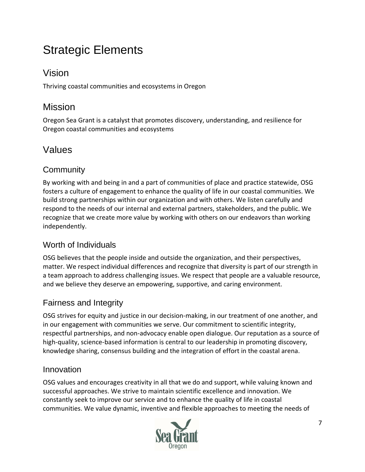# Strategic Elements

# Vision

Thriving coastal communities and ecosystems in Oregon

# Mission

Oregon Sea Grant is a catalyst that promotes discovery, understanding, and resilience for Oregon coastal communities and ecosystems

# Values

## **Community**

By working with and being in and a part of communities of place and practice statewide, OSG fosters a culture of engagement to enhance the quality of life in our coastal communities. We build strong partnerships within our organization and with others. We listen carefully and respond to the needs of our internal and external partners, stakeholders, and the public. We recognize that we create more value by working with others on our endeavors than working independently.

### Worth of Individuals

OSG believes that the people inside and outside the organization, and their perspectives, matter. We respect individual differences and recognize that diversity is part of our strength in a team approach to address challenging issues. We respect that people are a valuable resource, and we believe they deserve an empowering, supportive, and caring environment.

## Fairness and Integrity

OSG strives for equity and justice in our decision-making, in our treatment of one another, and in our engagement with communities we serve. Our commitment to scientific integrity, respectful partnerships, and non-advocacy enable open dialogue. Our reputation as a source of high-quality, science-based information is central to our leadership in promoting discovery, knowledge sharing, consensus building and the integration of effort in the coastal arena.

### Innovation

OSG values and encourages creativity in all that we do and support, while valuing known and successful approaches. We strive to maintain scientific excellence and innovation. We constantly seek to improve our service and to enhance the quality of life in coastal communities. We value dynamic, inventive and flexible approaches to meeting the needs of

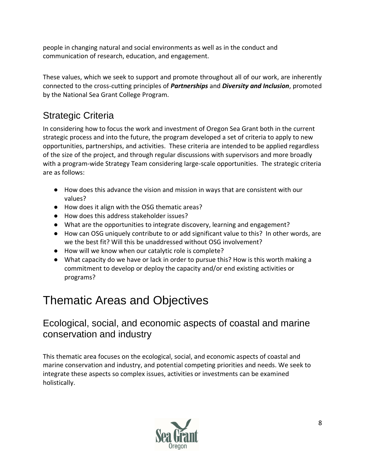people in changing natural and social environments as well as in the conduct and communication of research, education, and engagement.

These values, which we seek to support and promote throughout all of our work, are inherently connected to the cross-cutting principles of *Partnerships* and *Diversity and Inclusion*, promoted by the National Sea Grant College Program.

# Strategic Criteria

In considering how to focus the work and investment of Oregon Sea Grant both in the current strategic process and into the future, the program developed a set of criteria to apply to new opportunities, partnerships, and activities. These criteria are intended to be applied regardless of the size of the project, and through regular discussions with supervisors and more broadly with a program-wide Strategy Team considering large-scale opportunities. The strategic criteria are as follows:

- How does this advance the vision and mission in ways that are consistent with our values?
- How does it align with the OSG thematic areas?
- How does this address stakeholder issues?
- What are the opportunities to integrate discovery, learning and engagement?
- How can OSG uniquely contribute to or add significant value to this? In other words, are we the best fit? Will this be unaddressed without OSG involvement?
- How will we know when our catalytic role is complete?
- What capacity do we have or lack in order to pursue this? How is this worth making a commitment to develop or deploy the capacity and/or end existing activities or programs?

# Thematic Areas and Objectives

## Ecological, social, and economic aspects of coastal and marine conservation and industry

This thematic area focuses on the ecological, social, and economic aspects of coastal and marine conservation and industry, and potential competing priorities and needs. We seek to integrate these aspects so complex issues, activities or investments can be examined holistically.

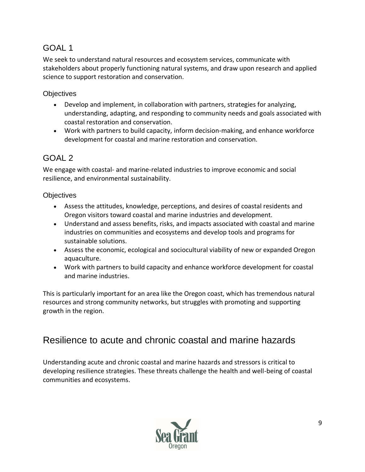We seek to understand natural resources and ecosystem services, communicate with stakeholders about properly functioning natural systems, and draw upon research and applied science to support restoration and conservation.

#### **Objectives**

- Develop and implement, in collaboration with partners, strategies for analyzing, understanding, adapting, and responding to community needs and goals associated with coastal restoration and conservation.
- Work with partners to build capacity, inform decision-making, and enhance workforce development for coastal and marine restoration and conservation.

## GOAL 2

We engage with coastal- and marine-related industries to improve economic and social resilience, and environmental sustainability.

#### **Objectives**

- Assess the attitudes, knowledge, perceptions, and desires of coastal residents and Oregon visitors toward coastal and marine industries and development.
- Understand and assess benefits, risks, and impacts associated with coastal and marine industries on communities and ecosystems and develop tools and programs for sustainable solutions.
- Assess the economic, ecological and sociocultural viability of new or expanded Oregon aquaculture.
- Work with partners to build capacity and enhance workforce development for coastal and marine industries.

This is particularly important for an area like the Oregon coast, which has tremendous natural resources and strong community networks, but struggles with promoting and supporting growth in the region.

## Resilience to acute and chronic coastal and marine hazards

Understanding acute and chronic coastal and marine hazards and stressors is critical to developing resilience strategies. These threats challenge the health and well-being of coastal communities and ecosystems.

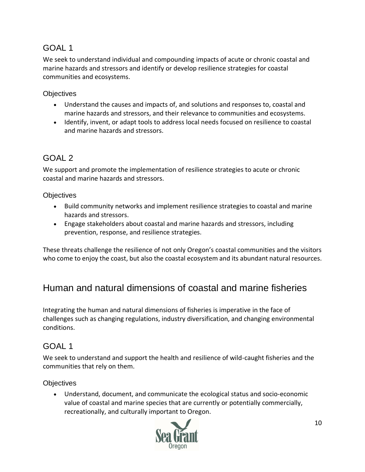We seek to understand individual and compounding impacts of acute or chronic coastal and marine hazards and stressors and identify or develop resilience strategies for coastal communities and ecosystems.

#### **Objectives**

- Understand the causes and impacts of, and solutions and responses to, coastal and marine hazards and stressors, and their relevance to communities and ecosystems.
- Identify, invent, or adapt tools to address local needs focused on resilience to coastal and marine hazards and stressors.

### GOAL 2

We support and promote the implementation of resilience strategies to acute or chronic coastal and marine hazards and stressors.

#### **Objectives**

- Build community networks and implement resilience strategies to coastal and marine hazards and stressors.
- Engage stakeholders about coastal and marine hazards and stressors, including prevention, response, and resilience strategies.

These threats challenge the resilience of not only Oregon's coastal communities and the visitors who come to enjoy the coast, but also the coastal ecosystem and its abundant natural resources.

# Human and natural dimensions of coastal and marine fisheries

Integrating the human and natural dimensions of fisheries is imperative in the face of challenges such as changing regulations, industry diversification, and changing environmental conditions.

### GOAL 1

We seek to understand and support the health and resilience of wild-caught fisheries and the communities that rely on them.

#### **Objectives**

• Understand, document, and communicate the ecological status and socio-economic value of coastal and marine species that are currently or potentially commercially, recreationally, and culturally important to Oregon.

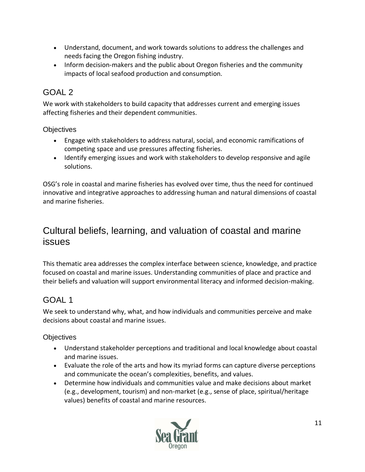- Understand, document, and work towards solutions to address the challenges and needs facing the Oregon fishing industry.
- Inform decision-makers and the public about Oregon fisheries and the community impacts of local seafood production and consumption*.*

We work with stakeholders to build capacity that addresses current and emerging issues affecting fisheries and their dependent communities.

#### **Objectives**

- Engage with stakeholders to address natural, social, and economic ramifications of competing space and use pressures affecting fisheries.
- Identify emerging issues and work with stakeholders to develop responsive and agile solutions.

OSG's role in coastal and marine fisheries has evolved over time, thus the need for continued innovative and integrative approaches to addressing human and natural dimensions of coastal and marine fisheries.

## Cultural beliefs, learning, and valuation of coastal and marine issues

This thematic area addresses the complex interface between science, knowledge, and practice focused on coastal and marine issues. Understanding communities of place and practice and their beliefs and valuation will support environmental literacy and informed decision-making.

### GOAL 1

We seek to understand why, what, and how individuals and communities perceive and make decisions about coastal and marine issues.

#### **Objectives**

- Understand stakeholder perceptions and traditional and local knowledge about coastal and marine issues.
- Evaluate the role of the arts and how its myriad forms can capture diverse perceptions and communicate the ocean's complexities, benefits, and values.
- Determine how individuals and communities value and make decisions about market (e.g., development, tourism) and non-market (e.g., sense of place, spiritual/heritage values) benefits of coastal and marine resources.

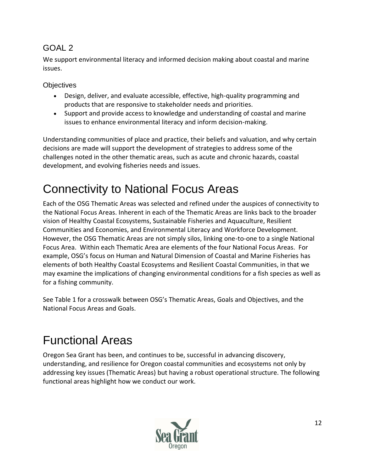We support environmental literacy and informed decision making about coastal and marine issues.

**Objectives** 

- Design, deliver, and evaluate accessible, effective, high-quality programming and products that are responsive to stakeholder needs and priorities.
- Support and provide access to knowledge and understanding of coastal and marine issues to enhance environmental literacy and inform decision-making.

Understanding communities of place and practice, their beliefs and valuation, and why certain decisions are made will support the development of strategies to address some of the challenges noted in the other thematic areas, such as acute and chronic hazards, coastal development, and evolving fisheries needs and issues.

# Connectivity to National Focus Areas

Each of the OSG Thematic Areas was selected and refined under the auspices of connectivity to the National Focus Areas. Inherent in each of the Thematic Areas are links back to the broader vision of Healthy Coastal Ecosystems, Sustainable Fisheries and Aquaculture, Resilient Communities and Economies, and Environmental Literacy and Workforce Development. However, the OSG Thematic Areas are not simply silos, linking one-to-one to a single National Focus Area. Within each Thematic Area are elements of the four National Focus Areas. For example, OSG's focus on Human and Natural Dimension of Coastal and Marine Fisheries has elements of both Healthy Coastal Ecosystems and Resilient Coastal Communities, in that we may examine the implications of changing environmental conditions for a fish species as well as for a fishing community.

See Table 1 for a crosswalk between OSG's Thematic Areas, Goals and Objectives, and the National Focus Areas and Goals.

# Functional Areas

Oregon Sea Grant has been, and continues to be, successful in advancing discovery, understanding, and resilience for Oregon coastal communities and ecosystems not only by addressing key issues (Thematic Areas) but having a robust operational structure. The following functional areas highlight how we conduct our work.

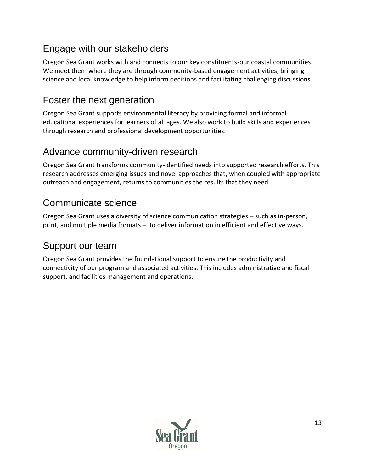# Engage with our stakeholders

Oregon Sea Grant works with and connects to our key constituents-our coastal communities. We meet them where they are through community-based engagement activities, bringing science and local knowledge to help inform decisions and facilitating challenging discussions.

# Foster the next generation

Oregon Sea Grant supports environmental literacy by providing formal and informal educational experiences for learners of all ages. We also work to build skills and experiences through research and professional development opportunities.

## Advance community-driven research

Oregon Sea Grant transforms community-identified needs into supported research efforts. This research addresses emerging issues and novel approaches that, when coupled with appropriate outreach and engagement, returns to communities the results that they need.

# Communicate science

Oregon Sea Grant uses a diversity of science communication strategies – such as in-person, print, and multiple media formats – to deliver information in efficient and effective ways.

## Support our team

Oregon Sea Grant provides the foundational support to ensure the productivity and connectivity of our program and associated activities. This includes administrative and fiscal support, and facilities management and operations.

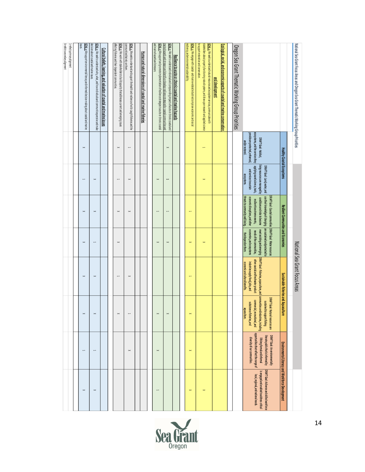| National Sea Grant Focus Areas and Oregon Sea Grant Thematic Working Group Priorities                                                                                                                          |                                                                                                                      |                                                                                                                             |                                                                                                                                                                                                                                       |                                                        | National Sea Grant Focus Areas                                                                                                                     |                                                                                                                                                                                            |                                                                                                                                                                                    |                                                                                                                                   |
|----------------------------------------------------------------------------------------------------------------------------------------------------------------------------------------------------------------|----------------------------------------------------------------------------------------------------------------------|-----------------------------------------------------------------------------------------------------------------------------|---------------------------------------------------------------------------------------------------------------------------------------------------------------------------------------------------------------------------------------|--------------------------------------------------------|----------------------------------------------------------------------------------------------------------------------------------------------------|--------------------------------------------------------------------------------------------------------------------------------------------------------------------------------------------|------------------------------------------------------------------------------------------------------------------------------------------------------------------------------------|-----------------------------------------------------------------------------------------------------------------------------------|
|                                                                                                                                                                                                                |                                                                                                                      |                                                                                                                             |                                                                                                                                                                                                                                       |                                                        |                                                                                                                                                    |                                                                                                                                                                                            |                                                                                                                                                                                    |                                                                                                                                   |
|                                                                                                                                                                                                                | Healthy Coastal Ecosystems                                                                                           |                                                                                                                             | <b>Resilent Communities and Economies</b>                                                                                                                                                                                             |                                                        | Sustainable Fisheries and Aquaculture                                                                                                              |                                                                                                                                                                                            |                                                                                                                                                                                    | Environmental Literacy and Workforce Development                                                                                  |
|                                                                                                                                                                                                                | e cosystems, and the services they<br>provide a re protected, enhanced,<br>DRAFT Goal: Habitat,<br>and for restored. | living resources are managed by<br>applying sound science, tools,<br>DRAFTGoal: Land, water, and<br>and services to sustain | use their knowledge of changing are sustained and protected to<br>DRAFT Goal: Coastal communities   DRAFT Goal: Water resources<br>conditions and risks to be come<br>economic disruptions, and other<br>resilient to extreme events, | economies, and ecosystems<br>needs of the communities, | meet existing and emerging   DRAFT Goal: Fisheries, aquaculture, and<br>other coastal and fresh water product<br>industries supply food, jobs, and | communities and industries, including<br>DRAFT Goal: Natural resources are<br>commercial, recreational, and<br>sustained to support fishing<br>subsistence fisheries, and<br>a quaculture. | opportunities that reflect the range of<br>DRAFT Goal: An environmentally<br>litera te public that is informed by<br>diversity of our communities.<br>lifelong formal and informal | DRAFT Goal: A diverse and skilled workforce<br>is engaged and enabled to address critical<br>local, regional, and national needs. |
|                                                                                                                                                                                                                |                                                                                                                      | ecosystems.                                                                                                                 | threats to community well-being.                                                                                                                                                                                                      | that dependonthem.                                     | economic and cultural benefits.                                                                                                                    |                                                                                                                                                                                            |                                                                                                                                                                                    |                                                                                                                                   |
| Oregon Sea Grant Thematic Working Group Priorities                                                                                                                                                             |                                                                                                                      |                                                                                                                             |                                                                                                                                                                                                                                       |                                                        |                                                                                                                                                    |                                                                                                                                                                                            |                                                                                                                                                                                    |                                                                                                                                   |
|                                                                                                                                                                                                                |                                                                                                                      |                                                                                                                             |                                                                                                                                                                                                                                       |                                                        |                                                                                                                                                    |                                                                                                                                                                                            |                                                                                                                                                                                    |                                                                                                                                   |
| <u>Ecological, social, and economic aspects of coastal and marine conservation</u><br>and development                                                                                                          |                                                                                                                      |                                                                                                                             |                                                                                                                                                                                                                                       |                                                        |                                                                                                                                                    |                                                                                                                                                                                            |                                                                                                                                                                                    |                                                                                                                                   |
| stakeholders about properly functioning natural systems, and draw upon research and applied science<br>GOAL 1: We sek to understand natural resources and ecosystem services, communicate with                 |                                                                                                                      |                                                                                                                             |                                                                                                                                                                                                                                       |                                                        |                                                                                                                                                    |                                                                                                                                                                                            |                                                                                                                                                                                    | $\geq$                                                                                                                            |
| to support restoration and conservation.                                                                                                                                                                       |                                                                                                                      |                                                                                                                             |                                                                                                                                                                                                                                       |                                                        |                                                                                                                                                    |                                                                                                                                                                                            |                                                                                                                                                                                    |                                                                                                                                   |
| resilience, and environmental sustainability<br><u>GOAL 1:</u> Weengage with coastal-and marine-related industries to improvee conomic and social                                                              |                                                                                                                      |                                                                                                                             |                                                                                                                                                                                                                                       | $\mathbb{1}$                                           |                                                                                                                                                    |                                                                                                                                                                                            | $\mathbb{1}$                                                                                                                                                                       | $\mathbb{1}$                                                                                                                      |
|                                                                                                                                                                                                                |                                                                                                                      |                                                                                                                             |                                                                                                                                                                                                                                       |                                                        |                                                                                                                                                    |                                                                                                                                                                                            |                                                                                                                                                                                    |                                                                                                                                   |
| Resilence to acute or chronic coastal and marine hazards                                                                                                                                                       |                                                                                                                      |                                                                                                                             |                                                                                                                                                                                                                                       |                                                        |                                                                                                                                                    |                                                                                                                                                                                            |                                                                                                                                                                                    |                                                                                                                                   |
| marine hazards an d stressors and identify or d evelop resilience strategies for co ast al communities and<br>GOAL 1: We seek to understand individual and compounding impacts of acute or chronic coastal and | $\mathbb{1}$                                                                                                         |                                                                                                                             |                                                                                                                                                                                                                                       | $\mathbb{1}$                                           |                                                                                                                                                    |                                                                                                                                                                                            |                                                                                                                                                                                    |                                                                                                                                   |
| and marine haz ards and stressors.<br>GOAL 2: We support and promote implementation of reslience strategies to acute or chronic coastal                                                                        |                                                                                                                      |                                                                                                                             |                                                                                                                                                                                                                                       | $\mathbb{1}$                                           |                                                                                                                                                    |                                                                                                                                                                                            | $\mathbb{1}$                                                                                                                                                                       |                                                                                                                                   |
|                                                                                                                                                                                                                |                                                                                                                      |                                                                                                                             |                                                                                                                                                                                                                                       |                                                        |                                                                                                                                                    |                                                                                                                                                                                            |                                                                                                                                                                                    |                                                                                                                                   |
| Human and natural dimensions of coastal and marine fisheries                                                                                                                                                   |                                                                                                                      |                                                                                                                             |                                                                                                                                                                                                                                       |                                                        |                                                                                                                                                    |                                                                                                                                                                                            |                                                                                                                                                                                    |                                                                                                                                   |
|                                                                                                                                                                                                                |                                                                                                                      |                                                                                                                             |                                                                                                                                                                                                                                       |                                                        |                                                                                                                                                    |                                                                                                                                                                                            |                                                                                                                                                                                    |                                                                                                                                   |
| <u>GOAL 1.</u> We seek to understand and support the health and resilience of will d-c aught fisheries and the<br>communities that rely on them.                                                               | $\overline{\phantom{0}}$                                                                                             |                                                                                                                             | $\mathbb{1}$                                                                                                                                                                                                                          |                                                        |                                                                                                                                                    | ⊷                                                                                                                                                                                          | $\mathbb{1}$                                                                                                                                                                       |                                                                                                                                   |
| affecting fisheries and their dependent communities.<br>GOAL 2: We work with stakehold ers to build capacity that addresses current and emerging issues                                                        | $\mathbb{1}$                                                                                                         |                                                                                                                             | $\mathbb{1}$                                                                                                                                                                                                                          | $\mathbb{1}$                                           |                                                                                                                                                    | $\mathord{\succ}$                                                                                                                                                                          |                                                                                                                                                                                    |                                                                                                                                   |
|                                                                                                                                                                                                                |                                                                                                                      |                                                                                                                             |                                                                                                                                                                                                                                       |                                                        |                                                                                                                                                    |                                                                                                                                                                                            |                                                                                                                                                                                    |                                                                                                                                   |
| <u>Cultural beliefs, learning, and valuation of coastal and marine issues</u>                                                                                                                                  |                                                                                                                      |                                                                                                                             |                                                                                                                                                                                                                                       |                                                        |                                                                                                                                                    |                                                                                                                                                                                            |                                                                                                                                                                                    |                                                                                                                                   |
| decisions about coastal and marine issues.<br>GOAL 1: We seek to understand why, what, and how individuals and communities perceive and make                                                                   |                                                                                                                      |                                                                                                                             | $\mathbb{1}$                                                                                                                                                                                                                          |                                                        |                                                                                                                                                    |                                                                                                                                                                                            |                                                                                                                                                                                    | $\geq$                                                                                                                            |
| ISUES.<br><b>GOAL 2:</b> We support environmental literacy and informed decision making about coastal and marine                                                                                               | $\mathbb{\times}$                                                                                                    |                                                                                                                             | $\mathbb{1}$                                                                                                                                                                                                                          | $\mathbb{1}$                                           | $\mathbb{1}$                                                                                                                                       |                                                                                                                                                                                            | $\blacksquare$                                                                                                                                                                     | $\mathord{\succ}$                                                                                                                 |
|                                                                                                                                                                                                                |                                                                                                                      |                                                                                                                             |                                                                                                                                                                                                                                       |                                                        |                                                                                                                                                    |                                                                                                                                                                                            |                                                                                                                                                                                    |                                                                                                                                   |
| 1-reflects primary alignment                                                                                                                                                                                   |                                                                                                                      |                                                                                                                             |                                                                                                                                                                                                                                       |                                                        |                                                                                                                                                    |                                                                                                                                                                                            |                                                                                                                                                                                    |                                                                                                                                   |
| X-refelcts secondary alignment                                                                                                                                                                                 |                                                                                                                      |                                                                                                                             |                                                                                                                                                                                                                                       |                                                        |                                                                                                                                                    |                                                                                                                                                                                            |                                                                                                                                                                                    |                                                                                                                                   |

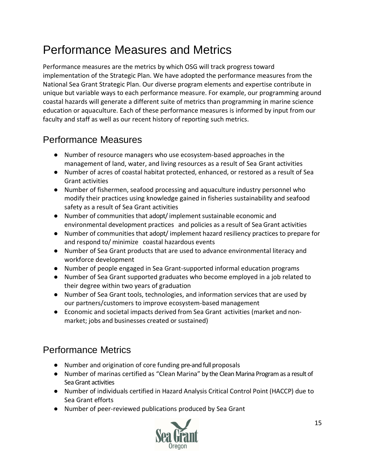# Performance Measures and Metrics

Performance measures are the metrics by which OSG will track progress toward implementation of the Strategic Plan. We have adopted the performance measures from the National Sea Grant Strategic Plan. Our diverse program elements and expertise contribute in unique but variable ways to each performance measure. For example, our programming around coastal hazards will generate a different suite of metrics than programming in marine science education or aquaculture. Each of these performance measures is informed by input from our faculty and staff as well as our recent history of reporting such metrics.

# Performance Measures

- Number of resource managers who use ecosystem-based approaches in the management of land, water, and living resources as a result of Sea Grant activities
- Number of acres of coastal habitat protected, enhanced, or restored as a result of Sea Grant activities
- Number of fishermen, seafood processing and aquaculture industry personnel who modify their practices using knowledge gained in fisheries sustainability and seafood safety as a result of Sea Grant activities
- Number of communities that adopt/implement sustainable economic and environmental development practices and policies as a result of Sea Grant activities
- Number of communities that adopt/ implement hazard resiliency practices to prepare for and respond to/ minimize coastal hazardous events
- Number of Sea Grant products that are used to advance environmental literacy and workforce development
- Number of people engaged in Sea Grant-supported informal education programs
- Number of Sea Grant supported graduates who become employed in a job related to their degree within two years of graduation
- Number of Sea Grant tools, technologies, and information services that are used by our partners/customers to improve ecosystem-based management
- Economic and societal impacts derived from Sea Grant activities (market and nonmarket; jobs and businesses created or sustained)

## Performance Metrics

- Number and origination of core funding pre-and full proposals
- Number of marinas certified as "Clean Marina" by the Clean Marina Program as a result of Sea Grant activities
- Number of individuals certified in Hazard Analysis Critical Control Point (HACCP) due to Sea Grant efforts
- Number of peer-reviewed publications produced by Sea Grant